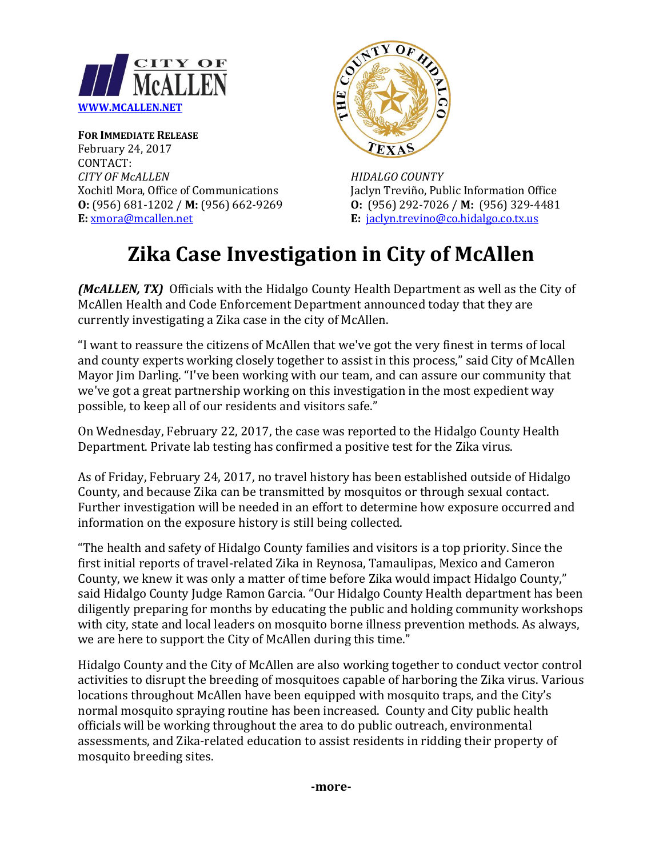

**FOR IMMEDIATE RELEASE** February 24, 2017 CONTACT: *CITY OF McALLEN HIDALGO COUNTY*



Xochitl Mora, Office of Communications Jaclyn Treviño, Public Information Office **O:** (956) 681-1202 / **M:** (956) 662-9269 **O:** (956) 292-7026 / **M:** (956) 329-4481 **E:** <u>xmora@mcallen.net</u> **E:** <u>jaclyn.trevino@co.hidalgo.co.tx.us</u> **E**: [jaclyn.trevino@co.hidalgo.co.tx.us](mailto:jaclyn.trevino@co.hidalgo.co.tx.us)

## **Zika Case Investigation in City of McAllen**

*(McALLEN, TX)* Officials with the Hidalgo County Health Department as well as the City of McAllen Health and Code Enforcement Department announced today that they are currently investigating a Zika case in the city of McAllen.

"I want to reassure the citizens of McAllen that we've got the very finest in terms of local and county experts working closely together to assist in this process," said City of McAllen Mayor Jim Darling. "I've been working with our team, and can assure our community that we've got a great partnership working on this investigation in the most expedient way possible, to keep all of our residents and visitors safe."

On Wednesday, February 22, 2017, the case was reported to the Hidalgo County Health Department. Private lab testing has confirmed a positive test for the Zika virus.

As of Friday, February 24, 2017, no travel history has been established outside of Hidalgo County, and because Zika can be transmitted by mosquitos or through sexual contact. Further investigation will be needed in an effort to determine how exposure occurred and information on the exposure history is still being collected.

"The health and safety of Hidalgo County families and visitors is a top priority. Since the first initial reports of travel-related Zika in Reynosa, Tamaulipas, Mexico and Cameron County, we knew it was only a matter of time before Zika would impact Hidalgo County," said Hidalgo County Judge Ramon Garcia. "Our Hidalgo County Health department has been diligently preparing for months by educating the public and holding community workshops with city, state and local leaders on mosquito borne illness prevention methods. As always, we are here to support the City of McAllen during this time."

Hidalgo County and the City of McAllen are also working together to conduct vector control activities to disrupt the breeding of mosquitoes capable of harboring the Zika virus. Various locations throughout McAllen have been equipped with mosquito traps, and the City's normal mosquito spraying routine has been increased. County and City public health officials will be working throughout the area to do public outreach, environmental assessments, and Zika-related education to assist residents in ridding their property of mosquito breeding sites.